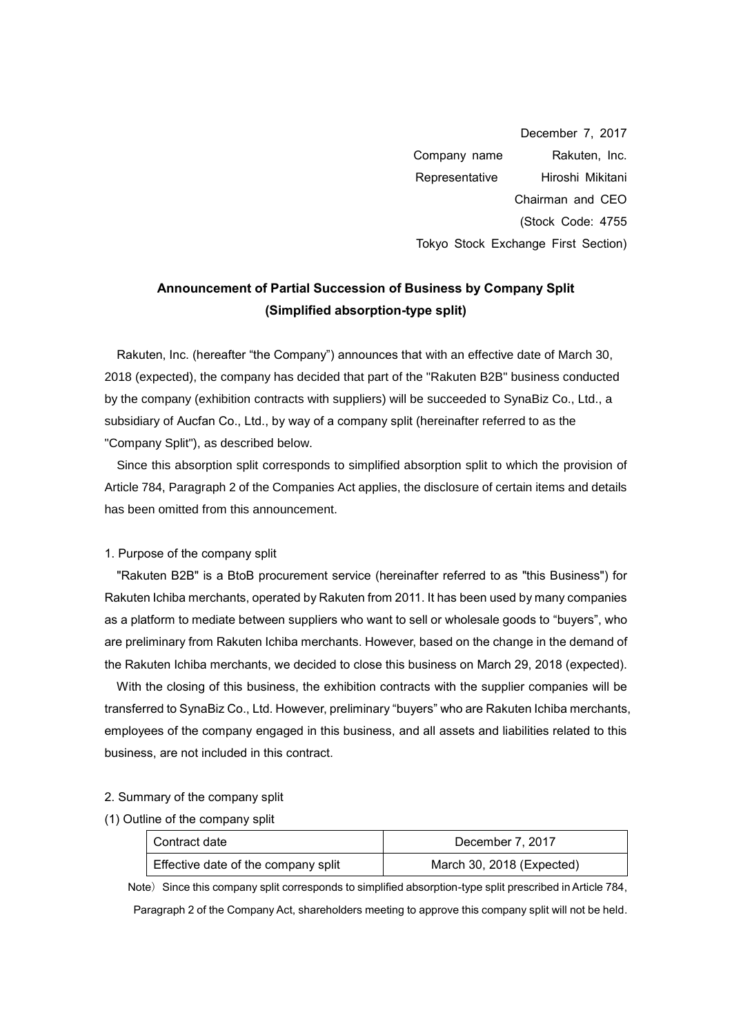December 7, 2017 Company name Rakuten, Inc. Representative Hiroshi Mikitani Chairman and CEO (Stock Code: 4755 Tokyo Stock Exchange First Section)

# **Announcement of Partial Succession of Business by Company Split (Simplified absorption-type split)**

Rakuten, Inc. (hereafter "the Company") announces that with an effective date of March 30, 2018 (expected), the company has decided that part of the "Rakuten B2B" business conducted by the company (exhibition contracts with suppliers) will be succeeded to SynaBiz Co., Ltd., a subsidiary of Aucfan Co., Ltd., by way of a company split (hereinafter referred to as the "Company Split"), as described below.

Since this absorption split corresponds to simplified absorption split to which the provision of Article 784, Paragraph 2 of the Companies Act applies, the disclosure of certain items and details has been omitted from this announcement.

#### 1. Purpose of the company split

"Rakuten B2B" is a BtoB procurement service (hereinafter referred to as "this Business") for Rakuten Ichiba merchants, operated by Rakuten from 2011. It has been used by many companies as a platform to mediate between suppliers who want to sell or wholesale goods to "buyers", who are preliminary from Rakuten Ichiba merchants. However, based on the change in the demand of the Rakuten Ichiba merchants, we decided to close this business on March 29, 2018 (expected).

With the closing of this business, the exhibition contracts with the supplier companies will be transferred to SynaBiz Co., Ltd. However, preliminary "buyers" who are Rakuten Ichiba merchants, employees of the company engaged in this business, and all assets and liabilities related to this business, are not included in this contract.

#### 2. Summary of the company split

(1) Outline of the company split

| Contract date                       | December 7, 2017          |
|-------------------------------------|---------------------------|
| Effective date of the company split | March 30, 2018 (Expected) |

Note) Since this company split corresponds to simplified absorption-type split prescribed in Article 784, Paragraph 2 of the Company Act, shareholders meeting to approve this company split will not be held.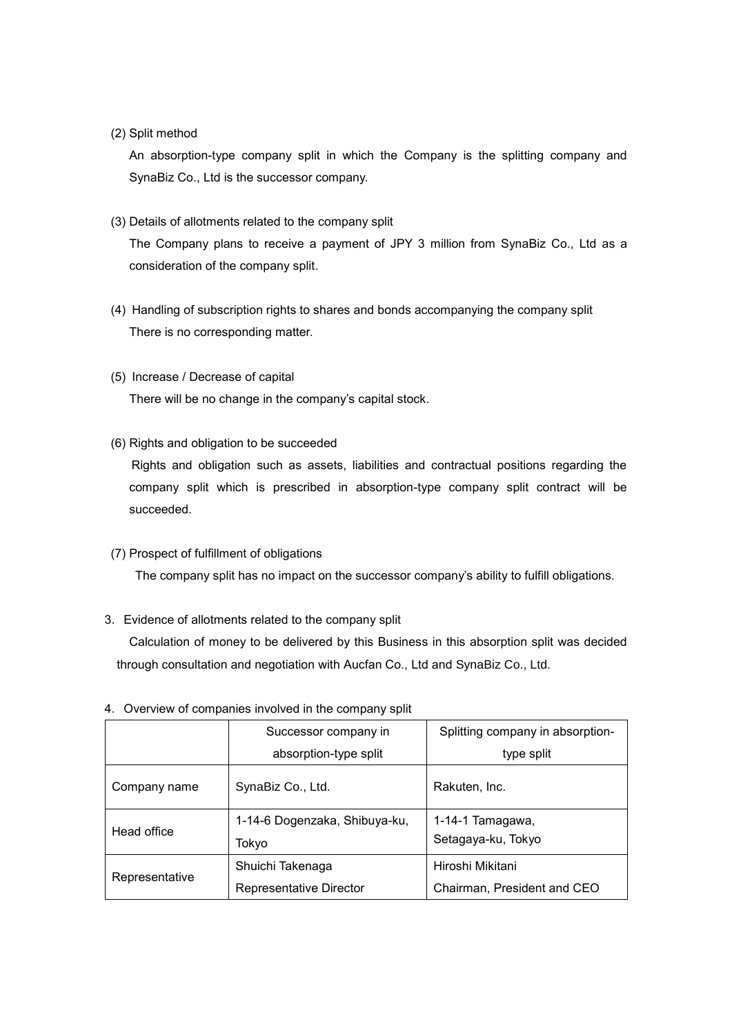### (2) Split method

An absorption-type company split in which the Company is the splitting company and SynaBiz Co., Ltd is the successor company.

(3) Details of allotments related to the company split

The Company plans to receive a payment of JPY 3 million from SynaBiz Co., Ltd as a consideration of the company split.

- (4) Handling of subscription rights to shares and bonds accompanying the company split There is no corresponding matter.
- (5) Increase / Decrease of capital

There will be no change in the company's capital stock.

(6) Rights and obligation to be succeeded

 Rights and obligation such as assets, liabilities and contractual positions regarding the company split which is prescribed in absorption-type company split contract will be succeeded.

### (7) Prospect of fulfillment of obligations

The company split has no impact on the successor company's ability to fulfill obligations.

## 3.Evidence of allotments related to the company split

Calculation of money to be delivered by this Business in this absorption split was decided through consultation and negotiation with Aucfan Co., Ltd and SynaBiz Co., Ltd.

|                | Successor company in          | Splitting company in absorption- |
|----------------|-------------------------------|----------------------------------|
|                | absorption-type split         | type split                       |
| Company name   | SynaBiz Co., Ltd.             | Rakuten, Inc.                    |
| Head office    | 1-14-6 Dogenzaka, Shibuya-ku, | 1-14-1 Tamagawa,                 |
|                | Tokyo                         | Setagaya-ku, Tokyo               |
| Representative | Shuichi Takenaga              | Hiroshi Mikitani                 |
|                | Representative Director       | Chairman, President and CEO      |

4. Overview of companies involved in the company split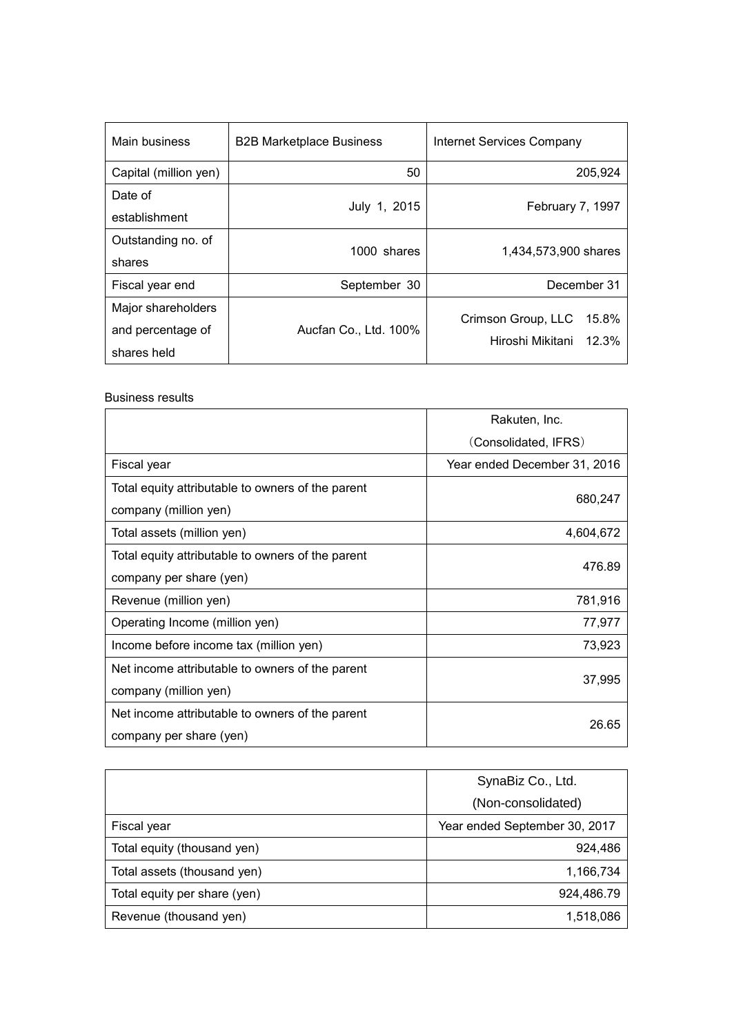| Main business         | <b>B2B Marketplace Business</b> | Internet Services Company   |
|-----------------------|---------------------------------|-----------------------------|
| Capital (million yen) | 50                              | 205,924                     |
| Date of               | July 1, 2015                    |                             |
| establishment         |                                 | February 7, 1997            |
| Outstanding no. of    | 1000 shares                     | 1,434,573,900 shares        |
| shares                |                                 |                             |
| Fiscal year end       | September 30                    | December 31                 |
| Major shareholders    |                                 | Crimson Group, LLC<br>15.8% |
| and percentage of     | Aucfan Co., Ltd. 100%           |                             |
| shares held           |                                 | Hiroshi Mikitani 12.3%      |

#### Business results

|                                                   | Rakuten, Inc.                |  |
|---------------------------------------------------|------------------------------|--|
|                                                   | (Consolidated, IFRS)         |  |
| Fiscal year                                       | Year ended December 31, 2016 |  |
| Total equity attributable to owners of the parent |                              |  |
| company (million yen)                             | 680,247                      |  |
| Total assets (million yen)                        | 4,604,672                    |  |
| Total equity attributable to owners of the parent | 476.89                       |  |
| company per share (yen)                           |                              |  |
| Revenue (million yen)                             | 781,916                      |  |
| Operating Income (million yen)                    | 77,977                       |  |
| Income before income tax (million yen)            | 73,923                       |  |
| Net income attributable to owners of the parent   |                              |  |
| company (million yen)                             | 37,995                       |  |
| Net income attributable to owners of the parent   | 26.65                        |  |
| company per share (yen)                           |                              |  |

|                              | SynaBiz Co., Ltd.             |
|------------------------------|-------------------------------|
|                              | (Non-consolidated)            |
| Fiscal year                  | Year ended September 30, 2017 |
| Total equity (thousand yen)  | 924,486                       |
| Total assets (thousand yen)  | 1,166,734                     |
| Total equity per share (yen) | 924,486.79                    |
| Revenue (thousand yen)       | 1,518,086                     |